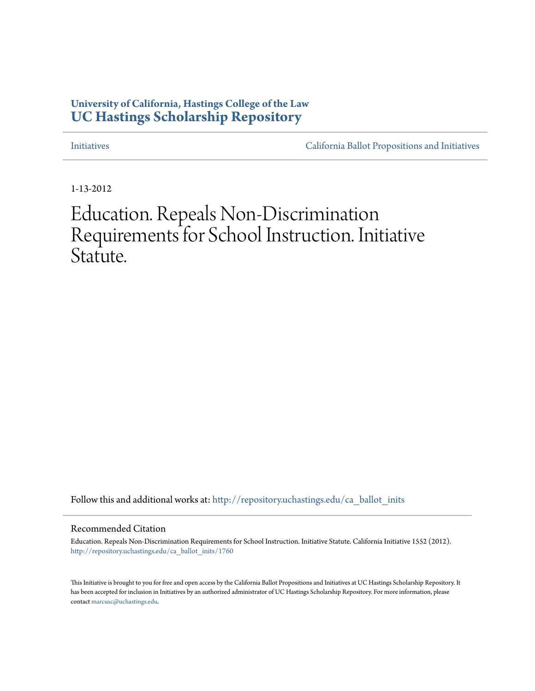# **University of California, Hastings College of the Law [UC Hastings Scholarship Repository](http://repository.uchastings.edu?utm_source=repository.uchastings.edu%2Fca_ballot_inits%2F1760&utm_medium=PDF&utm_campaign=PDFCoverPages)**

[Initiatives](http://repository.uchastings.edu/ca_ballot_inits?utm_source=repository.uchastings.edu%2Fca_ballot_inits%2F1760&utm_medium=PDF&utm_campaign=PDFCoverPages) [California Ballot Propositions and Initiatives](http://repository.uchastings.edu/ca_ballots?utm_source=repository.uchastings.edu%2Fca_ballot_inits%2F1760&utm_medium=PDF&utm_campaign=PDFCoverPages)

1-13-2012

# Education. Repeals Non-Discrimination Requirements for School Instruction. Initiative Statute.

Follow this and additional works at: [http://repository.uchastings.edu/ca\\_ballot\\_inits](http://repository.uchastings.edu/ca_ballot_inits?utm_source=repository.uchastings.edu%2Fca_ballot_inits%2F1760&utm_medium=PDF&utm_campaign=PDFCoverPages)

Recommended Citation

Education. Repeals Non-Discrimination Requirements for School Instruction. Initiative Statute. California Initiative 1552 (2012). [http://repository.uchastings.edu/ca\\_ballot\\_inits/1760](http://repository.uchastings.edu/ca_ballot_inits/1760?utm_source=repository.uchastings.edu%2Fca_ballot_inits%2F1760&utm_medium=PDF&utm_campaign=PDFCoverPages)

This Initiative is brought to you for free and open access by the California Ballot Propositions and Initiatives at UC Hastings Scholarship Repository. It has been accepted for inclusion in Initiatives by an authorized administrator of UC Hastings Scholarship Repository. For more information, please contact [marcusc@uchastings.edu](mailto:marcusc@uchastings.edu).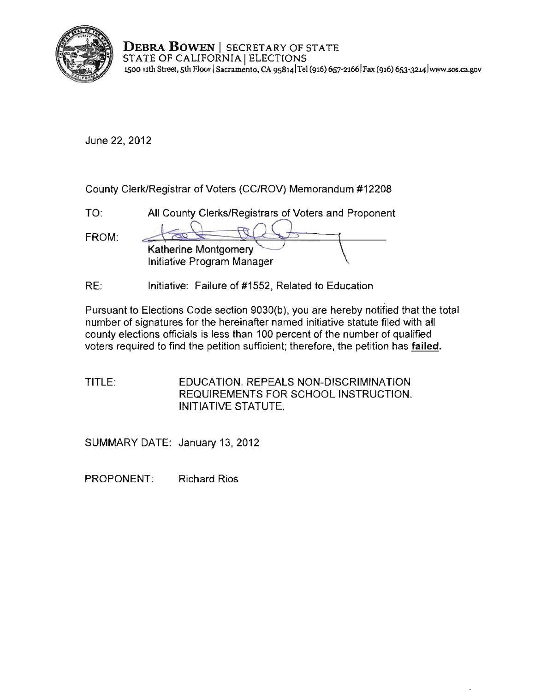

**DEBRA BOWEN** I SECRETARY OF STATE STATE OF CALIFORNIA | ELECTIONS **J500 nth Street, 5th Floor ISacramento, CA 9S8141TeI (916) 657-21661 Fax (916) 653<l214 lwwwosos.ca.gov** 

June 22, 2012

County ClerkiRegistrar of Voters (CC/ROV) Memorandum #12208

| $T\Omega$ | All County Clerks/Registrars of Voters and Proponent |
|-----------|------------------------------------------------------|
| FROM:     | Katherine Montgomery<br>Initiative Program Manager   |
|           |                                                      |

RE: Initiative: Failure of #1552, Related to Education

Pursuant to Elections Code section 9030(b), you are hereby notified that the total number of signatures for the hereinafter named initiative statute filed with all county elections officials is less than 100 percent of the number of qualified voters required to find the petition sufficient; therefore, the petition has **failed.** 

TITLE: EDUCATION. REPEALS NON-DISCRIMINATION REQUIREMENTS FOR SCHOOL INSTRUCTION. INITIATIVE STATUTE.

SUMMARY DATE: January 13, 2012

PROPONENT: Richard Rios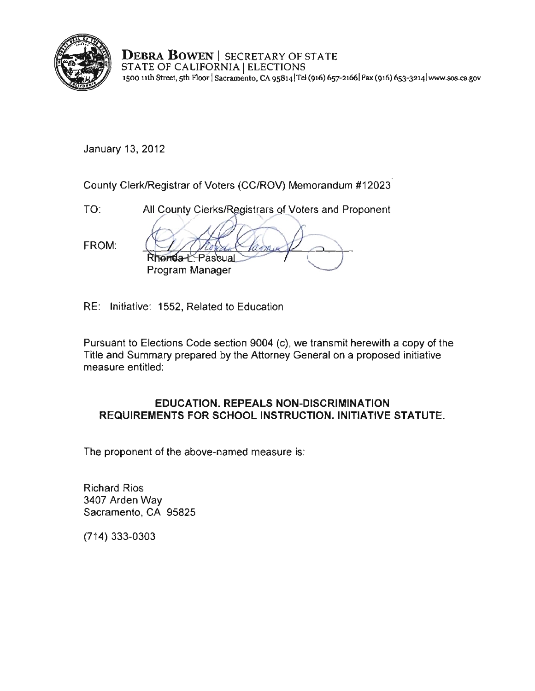

**DEBRA BOWEN** I SECRETARY OF STATE STATE OF CALIFORNIA | ELECTIONS **1500 Hth** Street. 5th **r1.oor ISacramento, CA 9s8141Tel (916) 657-21661 Fax (916) 6s3-3214 lwww.sos.ca.gov** 

January 13, 2012

County Clerk/Registrar of Voters (CC/ROV) Memorandum #12023

TO: All County Clerks/Registrars of Voters and Proponent FROM: Rhoma<sub>2</sub> Passua **Program Manager** 

RE: Initiative: 1552, Related to Education

Pursuant to Elections Code section 9004 (c), we transmit herewith a copy of the Title and Summary prepared by the Attorney General on a proposed initiative measure entitled:

## **EDUCATION. REPEALS NON·DlSCRIMINATION REQUIREMENTS FOR SCHOOL** INSTRUCTION. INITIATIVE **STATUTE.**

The proponent of the above·named measure is:

Richard Rios 3407 Arden Way Sacramento, CA 95825

(714) 333·0303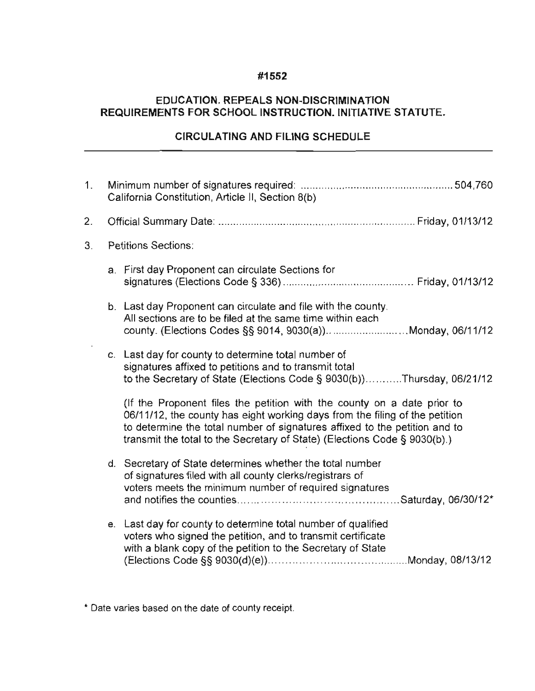#### **#1552**

## **EDUCATION, REPEALS NON-DISCRIMINATION REQUIREMENTS FOR SCHOOL INSTRUCTION, INITIATIVE STATUTE,**

## **CIRCULATING AND FILING SCHEDULE**

| 1 <sub>1</sub> | California Constitution, Article II, Section 8(b) |                                                                                                                                                                                                                                                                                                                   |  |
|----------------|---------------------------------------------------|-------------------------------------------------------------------------------------------------------------------------------------------------------------------------------------------------------------------------------------------------------------------------------------------------------------------|--|
| 2.             |                                                   |                                                                                                                                                                                                                                                                                                                   |  |
| 3.             |                                                   | <b>Petitions Sections:</b>                                                                                                                                                                                                                                                                                        |  |
|                |                                                   | a. First day Proponent can circulate Sections for                                                                                                                                                                                                                                                                 |  |
|                |                                                   | b. Last day Proponent can circulate and file with the county.<br>All sections are to be filed at the same time within each<br>county. (Elections Codes §§ 9014, 9030(a))Monday, 06/11/12                                                                                                                          |  |
|                |                                                   | c. Last day for county to determine total number of<br>signatures affixed to petitions and to transmit total<br>to the Secretary of State (Elections Code § 9030(b))Thursday, 06/21/12                                                                                                                            |  |
|                |                                                   | (If the Proponent files the petition with the county on a date prior to<br>06/11/12, the county has eight working days from the filing of the petition<br>to determine the total number of signatures affixed to the petition and to<br>transmit the total to the Secretary of State) (Elections Code § 9030(b).) |  |
|                |                                                   | d. Secretary of State determines whether the total number<br>of signatures filed with all county clerks/registrars of<br>voters meets the minimum number of required signatures                                                                                                                                   |  |
|                |                                                   | e. Last day for county to determine total number of qualified<br>voters who signed the petition, and to transmit certificate<br>with a blank copy of the petition to the Secretary of State                                                                                                                       |  |

**\* Date varies based on the date of county receipt.**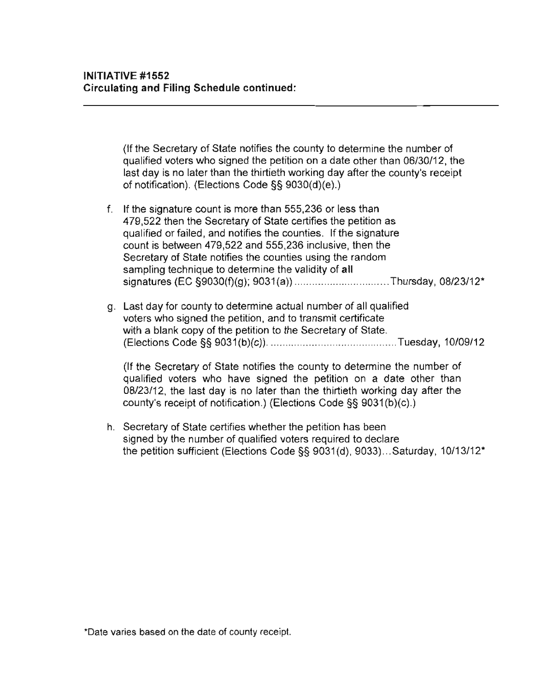(If Ihe Secretary of State notifies the county to determine the number of qualified voters who signed the petition on a date other than 06/30/12, the last day is no later than the thirtieth working day after the county's receipt of notification). (Elections Code §§ 9030(d)(e).)

- f. If the signature count is more than 555,236 or less than 479,522 then the Secretary of State certifies the petition as qualified or failed, and notifies the counties. If the signature count is between 479,522 and 555,236 inclusive, then the Secretary of State notifies the counties using the random sampling technique to determine the validity of all signatures (EC §9030(f)(g); 9031(a)) .................................Thursday, 08/23/12\*
- g. Last day for county to determine actual number of ali qualified voters who signed the petition, and to transmit certificate with a blank copy of the petition to the Secretary of State. (Elections Code §§ 9031(b)(c)) ............................................ Tuesday, 10109112

(If the Secretary of State notifies the county to determine the number of qualified voters who have signed the petition on a date other than 08123112, the last day is no later than the thirtieth working day after the county's receipt of notification.) (Elections Code §§ 9031(b)(c).)

h. Secretary of State certifies whether the petition has been signed by the number of qualified voters required to declare the petition sufficient (Elections Code §§ 9031(d), 9033) ... Saturday, 10113112'

**"Date varies based on the date of county receipt.**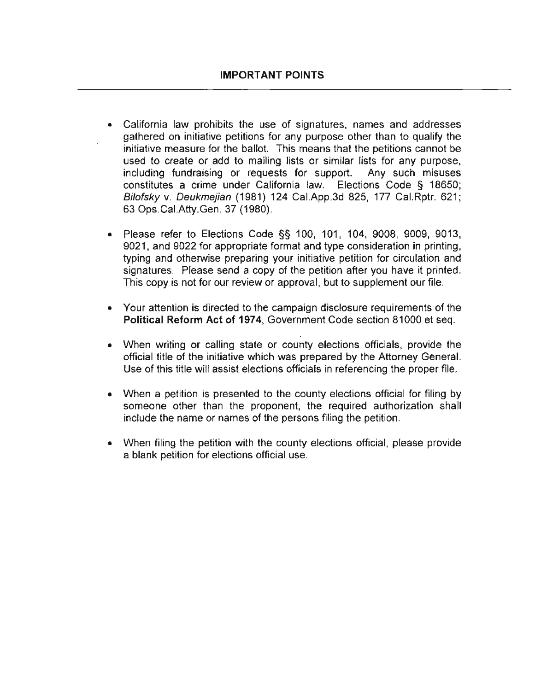- **California law prohibits the use of signatures, names and addresses**  gathered on initiative petitions for any purpose other than to qualify the initiative measure for the ballot. This means that the petitions cannot be used to create or add to mailing lists or similar lists for any purpose, including fundraising or requests for support. Any such misuses constitutes a crime under California law. Elections Code § 18650; Bilofsky v. Deukmejian (1981) 124 Cal.App.3d 825, 177 Cal.Rptr. 621; 63 Ops.CaI.Atty.Gen. 37 (1980).
- Please refer to Elections Code §§ 100, 101, 104, 9008, 9009, 9013, 9021, and 9022 for appropriate format and type consideration in printing, typing and otherwise preparing your initiative petition for circulation and signatures. Please send a copy of the petition after you have it printed. This copy is not for our review or approval, but to supplement our file.
- **Your attention is directed to the campaign disclosure requirements of the**  Political Reform Act of 1974, Government Code section 81000 et seq.
- When writing or calling state or county elections officials, provide the official title of the initiative which was prepared by the Attorney General. Use of this title will assist elections officials in referencing the proper file.
- When a petition is presented to the county elections official for filing by someone other than the proponent, the required authorization shall include the name or names of the persons filing the petition.
- When filing the petition with the county elections official, please provide a blank petition for elections official use.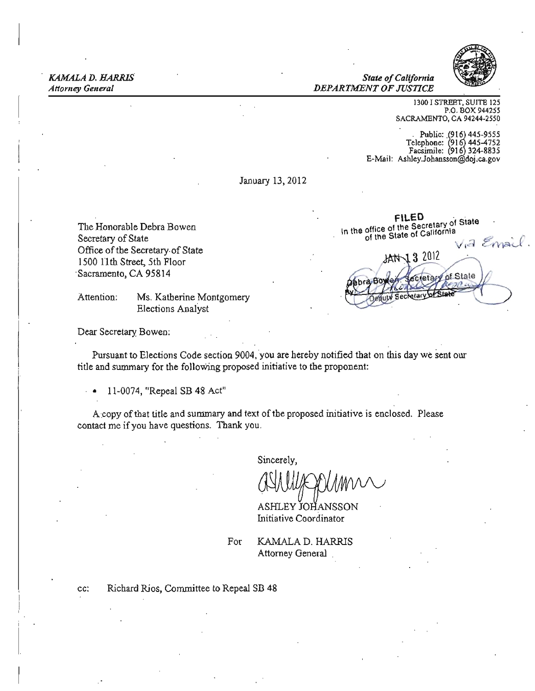*KAMALA D. HARRIS State ofCalifornia* 

**Attorney General**  *DEPARTMENT OF JUSTICE* 



1300 I STREET, SUITE 125 P.O. BOX 944255 SACRAMENTO, CA 94244-2550

. Public: *(916j44S.9555*  Telephone: "(916 445-4752 Facsimile: (916 324·8835 E-Mail: AshleyJobanssoo@doj.ca.gov

January 13,2012

1500 11th Street, 5th Floor . Sacramento, CA 95814

Attention: Ms. Katherine Montgomery Elections Analyst

FILED<br>The Honorable Debra Bowen . he is the office of the Secretary of State Secretary of State<br>Office of the Secretary of State<br>1500 11th Street Sth Floor In the office of the State of California . Secretary of State the Botal State of California . Secretary of State the State of California . Secretary of State the State of California . The State of California . The State of *.* of State etary

Dear Secretary Bowen:

Pursuant to Elections Code section 9004, you are hereby notified that on this day we sent our title and summary for the following proposed initiative to the proponent:

• 11-0074, "Repeal SB 48 Act"

A:copy ofthat title and sununary and text of the proposed initiative is enclosed. Please contact me ifyou have questions. Thank you.

Sincerely,

ASHLEY JOHANSSON Initiative Coordinator

For **KAMALA D. HARRIS** Attorney General

cc: Richard Rios, Committee to Repeal SB 48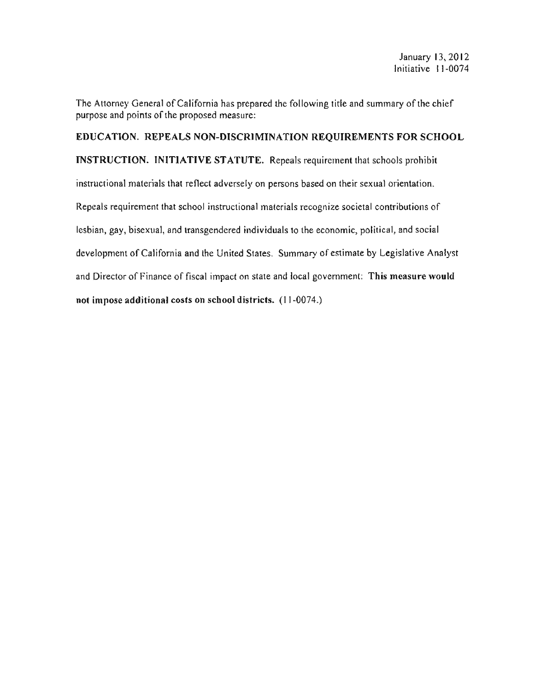The Attorney General of California has prepared the following title and summary of the chief purpose and points of the proposed measure:

EDUCATION. REPEALS NON-DISCRIMINATION REQUIREMENTS FOR SCHOOL INSTRUCflON. INITIATIVE STATUTE. Repeals requirement that schools prohibit instructional materials that reflect adversely on persons based on their sexual orientation. Repeals requirement that school instructional materials recognize societal contributions of lesbian, gay, bisexual, and transgendered individuals to the economic, political, and social development of California and the United States. Summary of estimate by Legislative Analyst and Director of Finance of fiscal impact on state and local government: This measure would not impose additional costs on school districts. (11-0074.)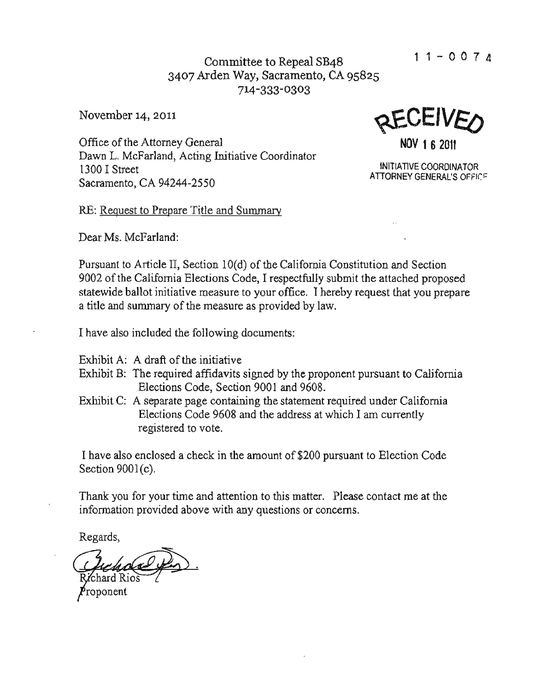Committee to Repeal SB48  $11-0074$ 3407 Arden Way, Sacramento, CA 95825 714-333-0303

Office of the Attorney General **NOV 16 2011** Dawn L. McFarland, Acting Initiative Coordinator 1300 I Street MITLATIVE COORDINATOR<br>ATTORNEY GENERAL'S OFFICE Sacramento, CA 94244-2550

November 14, 2011  $QECEWE$ 

RE: Request to Prepare Title and Summary

Dear Ms. McFarland:

Pursuant to Article II, Section 10(d) of the California Constitution and Section 9002 of the California Elections Code, I respectfully submit the attached proposed statewide ballot initiative measure to your office. I hereby request that you prepare a title and summary of the measure as provided by law.

I have also included the following documents:

- Exhibit A: A draft of the initiative
- Exhibit B: The required affidavits signed by the proponent pursuant to California Elections Code, Section 9001 and 9608.
- Exhibit C: A separate page containing the statement required under California Elections Code 9608 and the address at which I am currently registered to vote.

I have also enclosed a check in the amount of \$200 pursuant to Election Code Section  $9001(c)$ .

Thank you for your time and attention to this matter. Please contact me at the information provided above with any questions or concerns.

Regards,

'chard Rios

roponent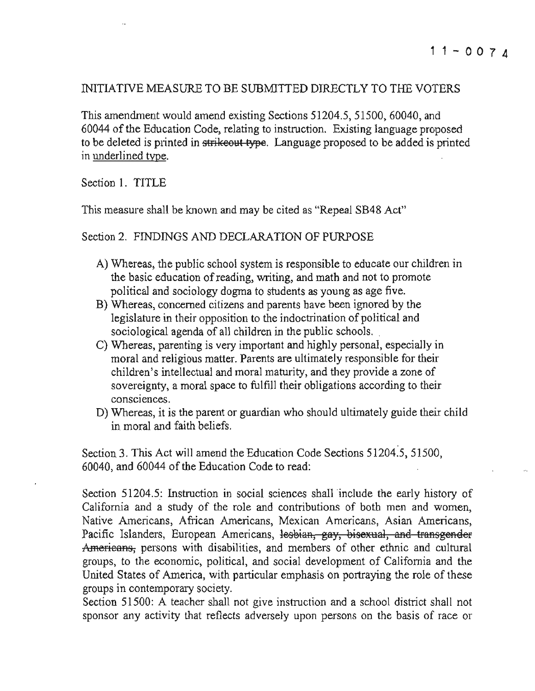### INITIATIVE MEASURE TO BE SUBMITTED DIRECTLY TO THE VOTERS

This amendment would amend existing Sections 51204.5,51500,60040, and 60044 ofthe Education Code, relating to instruction. Existing language proposed to be deleted is printed in strike out type. Language proposed to be added is printed in underlined type.

Section 1. TITLE

This measure shall be known and may be cited as "Repeal SB48 Act"

Section 2. FINDINGS AND DECLARATION OF PURPOSE

- A) Whereas, the public school system is responsible to educate our children in the basic education ofreading, writing, and math and not to promote political and sociology dogma to students as young as age five.
- B) Whereas, concerned citizens and parents have been ignored by the legislature in their opposition to the indoctrination of political and sociological agenda of all children in the public schools.
- C) Whereas, parenting is very important and highly personal, especially in moral and religious matter. Parents are ultimately responsible for their children's intellectual and moral maturity, and they provide a zone of sovereignty, a moral space to fulfill their obligations according to their consciences.
- D) Whereas, it is the parent or guardian who should ultimately guide their child in moral and faith beliefs.

Section 3. This Act will amend the Education Code Sections 51204.5, 51500, 60040, and 60044 of the Education Code to read:

Section 51204.5: Instruction in social sciences shall include the early history of California and a study of the role and contributions of both men and women, **Native Americans, African Americans, Mexican Americans, Asian Americans,**  Pacific Islanders, European Americans, lesbian, gay, bisexual, and transgender Americans, persons with disabilities, and members of other ethnic and cultural groups, to the economic, political, and social development of California and the United States of America, with particular emphasis on portraying the role of these groups in contemporary society.

Section 51500: A teacher shall not give instruction and a school district shall not sponsor any activity that reflects adversely upon persons on the basis of race or